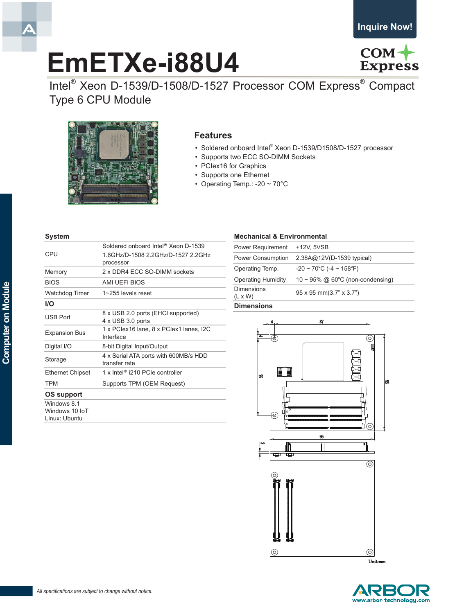# **EmETXe-i88U4**



Intel® Xeon D-1539/D-1508/D-1527 Processor COM Express® Compact Type 6 CPU Module



### **Features**

- Soldered onboard Intel® Xeon D-1539/D1508/D-1527 processor
- Supports two ECC SO-DIMM Sockets
- PCIex16 for Graphics
- • Supports one Ethernet
- Operating Temp.: -20  $\sim$  70 $^{\circ}$ C

## **System** Soldered onboard Intel® Xeon D-1539

|                                                | oviucicu viivvaru inici - Acvii D-TJJJ                  |
|------------------------------------------------|---------------------------------------------------------|
| CPU                                            | 1.6GHz/D-1508 2.2GHz/D-1527 2.2GHz<br>processor         |
| Memory                                         | 2 x DDR4 ECC SO-DIMM sockets                            |
| <b>BIOS</b>                                    | AMI UEFI BIOS                                           |
| <b>Watchdog Timer</b>                          | $1 \sim 255$ levels reset                               |
| <b>I/O</b>                                     |                                                         |
| <b>USB Port</b>                                | 8 x USB 2.0 ports (EHCI supported)<br>4 x USB 3.0 ports |
| <b>Expansion Bus</b>                           | 1 x PClex16 lane, 8 x PClex1 lanes, I2C<br>Interface    |
| Digital I/O                                    | 8-bit Digital Input/Output                              |
| Storage                                        | 4 x Serial ATA ports with 600MB/s HDD<br>transfer rate  |
| <b>Ethernet Chipset</b>                        | 1 x Intel <sup>®</sup> i210 PCIe controller             |
| <b>TPM</b>                                     | Supports TPM (OEM Request)                              |
| OS support                                     |                                                         |
| Windows 8.1<br>Windows 10 IoT<br>Linux: Ubuntu |                                                         |

| <b>Mechanical &amp; Environmental</b> |                                                    |  |
|---------------------------------------|----------------------------------------------------|--|
| <b>Power Requirement</b>              | +12V, 5VSB                                         |  |
| <b>Power Consumption</b>              | 2.38A@12V(D-1539 typical)                          |  |
| Operating Temp.                       | $-20 \sim 70^{\circ}$ C ( $-4 \sim 158^{\circ}$ F) |  |
| <b>Operating Humidity</b>             | $10 \sim 95\%$ @ 60°C (non-condensing)             |  |
| <b>Dimensions</b><br>$(L \times W)$   | $95 \times 95$ mm $(3.7" \times 3.7")$             |  |
| <b>Dimensions</b>                     |                                                    |  |





Ā